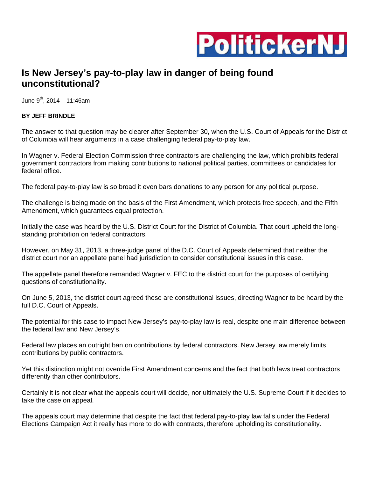

## **Is New Jersey's pay-to-play law in danger of being found unconstitutional?**

June  $9^{th}$ , 2014 – 11:46am

## **BY JEFF BRINDLE**

The answer to that question may be clearer after September 30, when the U.S. Court of Appeals for the District of Columbia will hear arguments in a case challenging federal pay-to-play law.

In Wagner v. Federal Election Commission three contractors are challenging the law, which prohibits federal government contractors from making contributions to national political parties, committees or candidates for federal office.

The federal pay-to-play law is so broad it even bars donations to any person for any political purpose.

The challenge is being made on the basis of the First Amendment, which protects free speech, and the Fifth Amendment, which guarantees equal protection.

Initially the case was heard by the U.S. District Court for the District of Columbia. That court upheld the longstanding prohibition on federal contractors.

However, on May 31, 2013, a three-judge panel of the D.C. Court of Appeals determined that neither the district court nor an appellate panel had jurisdiction to consider constitutional issues in this case.

The appellate panel therefore remanded Wagner v. FEC to the district court for the purposes of certifying questions of constitutionality.

On June 5, 2013, the district court agreed these are constitutional issues, directing Wagner to be heard by the full D.C. Court of Appeals.

The potential for this case to impact New Jersey's pay-to-play law is real, despite one main difference between the federal law and New Jersey's.

Federal law places an outright ban on contributions by federal contractors. New Jersey law merely limits contributions by public contractors.

Yet this distinction might not override First Amendment concerns and the fact that both laws treat contractors differently than other contributors.

Certainly it is not clear what the appeals court will decide, nor ultimately the U.S. Supreme Court if it decides to take the case on appeal.

The appeals court may determine that despite the fact that federal pay-to-play law falls under the Federal Elections Campaign Act it really has more to do with contracts, therefore upholding its constitutionality.